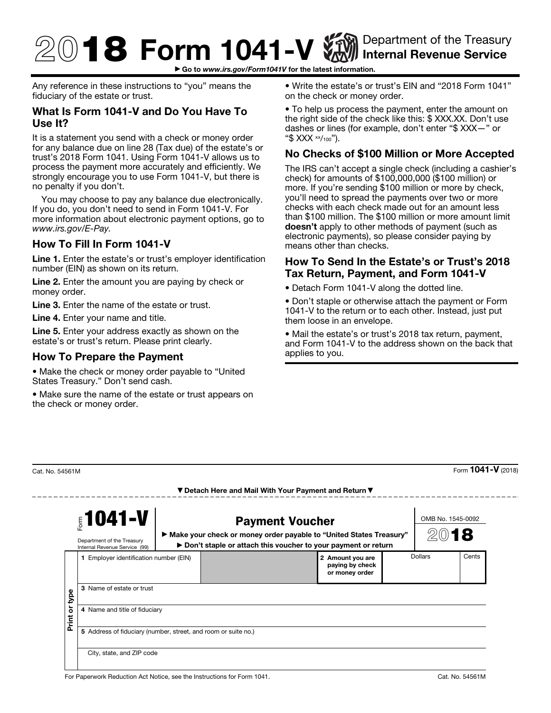# $\textcircled{1}$  8 Form 1041-V  $\textcircled{1}$  Internal Revenue Service Internal Revenue Service

▶ Go to *www.irs.gov/Form1041V* for the latest information.

Any reference in these instructions to "you" means the fiduciary of the estate or trust.

## What Is Form 1041-V and Do You Have To Use It?

It is a statement you send with a check or money order for any balance due on line 28 (Tax due) of the estate's or trust's 2018 Form 1041. Using Form 1041-V allows us to process the payment more accurately and efficiently. We strongly encourage you to use Form 1041-V, but there is no penalty if you don't.

You may choose to pay any balance due electronically. If you do, you don't need to send in Form 1041-V. For more information about electronic payment options, go to *www.irs.gov/E-Pay.*

## How To Fill In Form 1041-V

Line 1. Enter the estate's or trust's employer identification number (EIN) as shown on its return.

Line 2. Enter the amount you are paying by check or money order.

Line 3. Enter the name of the estate or trust.

Line 4. Enter your name and title.

------

Line 5. Enter your address exactly as shown on the estate's or trust's return. Please print clearly.

#### How To Prepare the Payment

• Make the check or money order payable to "United States Treasury." Don't send cash.

• Make sure the name of the estate or trust appears on the check or money order.

• Write the estate's or trust's EIN and "2018 Form 1041" on the check or money order.

• To help us process the payment, enter the amount on the right side of the check like this: \$ XXX.XX. Don't use dashes or lines (for example, don't enter "\$ XXX—" or "\$ XXX xx/100").

# No Checks of \$100 Million or More Accepted

The IRS can't accept a single check (including a cashier's check) for amounts of \$100,000,000 (\$100 million) or more. If you're sending \$100 million or more by check, you'll need to spread the payments over two or more checks with each check made out for an amount less than \$100 million. The \$100 million or more amount limit doesn't apply to other methods of payment (such as electronic payments), so please consider paying by means other than checks.

### How To Send In the Estate's or Trust's 2018 Tax Return, Payment, and Form 1041-V

• Detach Form 1041-V along the dotted line.

• Don't staple or otherwise attach the payment or Form 1041-V to the return or to each other. Instead, just put them loose in an envelope.

• Mail the estate's or trust's 2018 tax return, payment, and Form 1041-V to the address shown on the back that applies to you.

| $51041 - V$<br>Department of the Treasury<br>Internal Revenue Service (99) |                                                                                                 | <b>Payment Voucher</b><br>▶ Make your check or money order payable to "United States Treasury"<br>▶ Don't staple or attach this voucher to your payment or return |  |                                                       | OMB No. 1545-0092<br>2018 |         |       |
|----------------------------------------------------------------------------|-------------------------------------------------------------------------------------------------|-------------------------------------------------------------------------------------------------------------------------------------------------------------------|--|-------------------------------------------------------|---------------------------|---------|-------|
| type<br>ò<br>Print                                                         | 1 Employer identification number (EIN)<br>3 Name of estate or trust                             |                                                                                                                                                                   |  | 2 Amount you are<br>paying by check<br>or money order |                           | Dollars | Cents |
|                                                                            | 4 Name and title of fiduciary<br>5 Address of fiduciary (number, street, and room or suite no.) |                                                                                                                                                                   |  |                                                       |                           |         |       |
|                                                                            | City, state, and ZIP code                                                                       |                                                                                                                                                                   |  |                                                       |                           |         |       |

 $\frac{1}{2}$ Cat. No. 54561M Form **1041-V** (2018)

▼ Detach Here and Mail With Your Payment and Return ▼

For Paperwork Reduction Act Notice, see the Instructions for Form 1041.